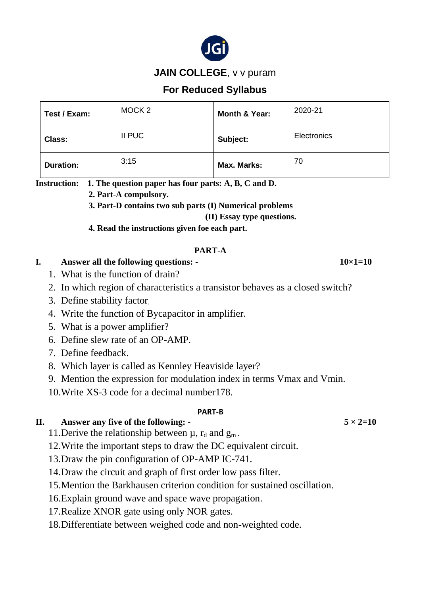

### **JAIN COLLEGE, v v puram**

## **For Reduced Syllabus**

| Test / Exam:                                                                                                                                                                                                                                                                                                                                                                                                                                       | MOCK <sub>2</sub>                                                                                    | <b>Month &amp; Year:</b> | 2020-21         |
|----------------------------------------------------------------------------------------------------------------------------------------------------------------------------------------------------------------------------------------------------------------------------------------------------------------------------------------------------------------------------------------------------------------------------------------------------|------------------------------------------------------------------------------------------------------|--------------------------|-----------------|
| <b>Class:</b>                                                                                                                                                                                                                                                                                                                                                                                                                                      | II PUC                                                                                               | Subject:                 | Electronics     |
| <b>Duration:</b>                                                                                                                                                                                                                                                                                                                                                                                                                                   | 3:15                                                                                                 | <b>Max. Marks:</b>       | 70              |
| <b>Instruction:</b><br>1. The question paper has four parts: A, B, C and D.<br>2. Part-A compulsory.<br>3. Part-D contains two sub parts (I) Numerical problems<br>(II) Essay type questions.<br>4. Read the instructions given foe each part.                                                                                                                                                                                                     |                                                                                                      |                          |                 |
| PART-A<br>Answer all the following questions: -<br>I.<br>1. What is the function of drain?                                                                                                                                                                                                                                                                                                                                                         |                                                                                                      |                          | $10\times1=10$  |
| 2. In which region of characteristics a transistor behaves as a closed switch?<br>3. Define stability factor<br>4. Write the function of Bycapacitor in amplifier.<br>5. What is a power amplifier?<br>6. Define slew rate of an OP-AMP.<br>7. Define feedback.<br>8. Which layer is called as Kennley Heaviside layer?<br>9. Mention the expression for modulation index in terms Vmax and Vmin.<br>10. Write XS-3 code for a decimal number 178. |                                                                                                      |                          |                 |
| Η.                                                                                                                                                                                                                                                                                                                                                                                                                                                 | Answer any five of the following: -<br>11. Derive the relationship between $\mu$ , $r_d$ and $g_m$ . | <b>PART-B</b>            | $5 \times 2=10$ |

12.Write the important steps to draw the DC equivalent circuit.

13.Draw the pin configuration of OP-AMP IC-741.

14.Draw the circuit and graph of first order low pass filter.

15.Mention the Barkhausen criterion condition for sustained oscillation.

16.Explain ground wave and space wave propagation.

17.Realize XNOR gate using only NOR gates.

18.Differentiate between weighed code and non-weighted code.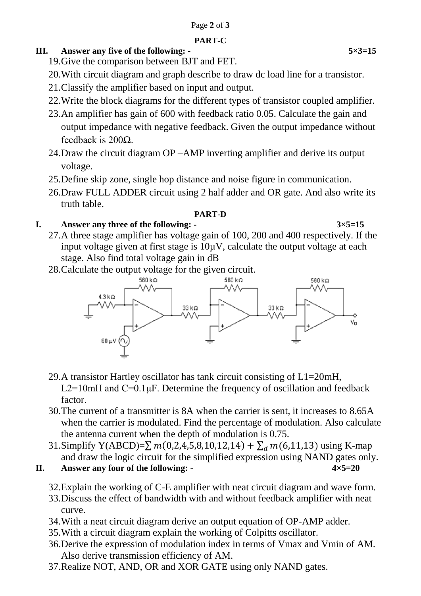#### **PART-C**

# **III.** Answer any five of the following: - 5×3=15

- 19.Give the comparison between BJT and FET.
- 20.With circuit diagram and graph describe to draw dc load line for a transistor.
- 21.Classify the amplifier based on input and output.
- 22.Write the block diagrams for the different types of transistor coupled amplifier.
- 23.An amplifier has gain of 600 with feedback ratio 0.05. Calculate the gain and output impedance with negative feedback. Given the output impedance without feedback is 200Ω.
- 24.Draw the circuit diagram OP –AMP inverting amplifier and derive its output voltage.
- 25.Define skip zone, single hop distance and noise figure in communication.
- 26.Draw FULL ADDER circuit using 2 half adder and OR gate. And also write its truth table.

## **PART-D**

# **I. Answer any three of the following: - 3×5=15**

- 27.A three stage amplifier has voltage gain of 100, 200 and 400 respectively. If the input voltage given at first stage is  $10\mu$ V, calculate the output voltage at each stage. Also find total voltage gain in dB
- 28.Calculate the output voltage for the given circuit.



- 29.A transistor Hartley oscillator has tank circuit consisting of L1=20mH, L2=10mH and  $C=0.1 \mu$ F. Determine the frequency of oscillation and feedback factor.
- 30.The current of a transmitter is 8A when the carrier is sent, it increases to 8.65A when the carrier is modulated. Find the percentage of modulation. Also calculate the antenna current when the depth of modulation is 0.75.
- 31.Simplify Y(ABCD)= $\sum m(0,2,4,5,8,10,12,14) + \sum_{d} m(6,11,13)$  using K-map and draw the logic circuit for the simplified expression using NAND gates only.
- **II. Answer any four of the following: 4×5=20**
	- 32.Explain the working of C-E amplifier with neat circuit diagram and wave form.
	- 33.Discuss the effect of bandwidth with and without feedback amplifier with neat curve.
	- 34.With a neat circuit diagram derive an output equation of OP-AMP adder.
	- 35.With a circuit diagram explain the working of Colpitts oscillator.
	- 36.Derive the expression of modulation index in terms of Vmax and Vmin of AM. Also derive transmission efficiency of AM.
	- 37.Realize NOT, AND, OR and XOR GATE using only NAND gates.